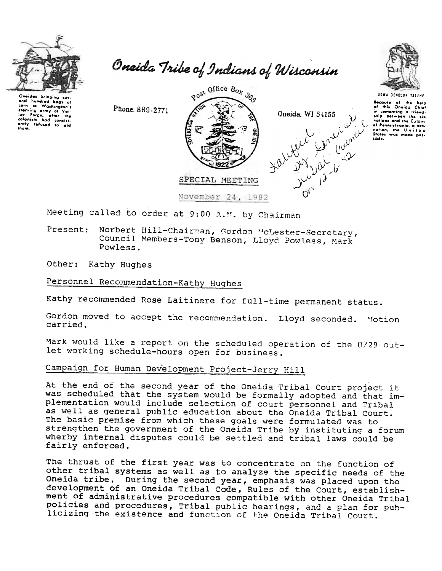

Oneida Tribe of Indians of Wisconsin



Because of the help<br>of this Oneida Chief

Cheidas bringi eral hundred bons to Washington's corn starving army at Value ently refused to

Post Office Box 365 executive of the help of the fine chief<br>in comenting a friend-<br>inip between the six<br>nations and the Colony Phone: 869-2771 Oneida, WI 54155 of Pennsylvania, a new sible. SPECIAL MEETING November 24, 1982

Meeting called to order at 9:00 A.M. by Chairman

Present: Norbert Hill-Chairman, Gordon McLester-Secretary, Council Members-Tony Benson, Lloyd Powless, Mark Powless.

Other: Kathy Hughes

Personnel Recommendation-Kathy Hughes

Kathy recommended Rose Laitinere for full-time permanent status.

Gordon moved to accept the recommendation. Lloyd seconded. Motion carried.

Mark would like a report on the scheduled operation of the U/29 outlet working schedule-hours open for business.

## Campaign for Human Development Project-Jerry Hill

At the end of the second year of the Oneida Tribal Court project it was scheduled that the system would be formally adopted and that implementation would include selection of court personnel and Tribal as well as general public education about the Oneida Tribal Court. The basic premise from which these goals were formulated was to strengthen the government of the Oneida Tribe by instituting a forum wherby internal disputes could be settled and tribal laws could be fairly enforced.

The thrust of the first year was to concentrate on the function of other tribal systems as well as to analyze the specific needs of the Oneida tribe. During the second year, emphasis was placed upon the development of an Oneida Tribal Code, Rules of the Court, establishment of administrative procedures compatible with other Oneida Tribal policies and procedures, Tribal public hearings, and a plan for publicizing the existence and function of the Oneida Tribal Court.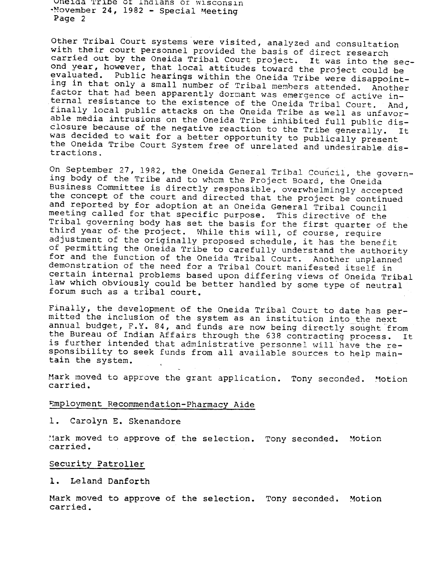unelda 'l'rlbe ot Indlans or Wlsconsln  $\cdot$  November 24, 1982 - Special Meeting Page 2

Other Tribal Court systems were visited, analyzed and consultation with their court personnel provided the basis of direct research carried out by the Oneida Tribal Court project. It was into the second year, however, that local attitudes toward the project could be evaluated. Public hearings within the Oneida Tribe were disappointing in that only a small number of Tribal members attended. Another factor that had been apparently dormant was emergence of active internal resistance to the existence of the Oneida Tribal Court. And, finally local public attacks on the Oneida Tribe as well as unfavorable media intrusions on the Oneida Tribe inhibited full public disclosure because of the negative reaction to the Tribe generally. was decided to wait for a better opportunity to publically present the Oneida Tribe Court System free of unrelated and undesirable distractions.

On September 27, 1982, the Oneida General Tribal Council, the governing body of the Tribe and to whom the Project Board, the Oneida Business Committee is directly responsible, overwhelmingly accepted the concept of the court and directed that the project be continued and reported by for adoption at an Oneida General Tribal Council meeting called for that specific purpose. This directive of the Tribal governing body has set the basis for the first quarter of the third year of the project. While this will, of course, require adjustment of the originally proposed schedule, it has the benefit of permitting the Oneida Tribe to carefully understand the authority for and the function of the Oneida Tribal Court. Another unplanned demonstration of the need for a Tribal Court manifested itself in certain internal problems based upon differing views of Oneida Tribal law which obviously could be better handled by some type of neutral forum such as a tribal court.

Finally, the development of the Oneida Tribal Court to date has permitted the inclusion of the system as an institution into the next annual budget, F.Y. 84, and funds are now being directly sought from the Bureau of Indian Affairs through the 638 contracting process. It is further intended that administrative personnel will have the responsibility to seek funds from all available sources to help maintain the system.

Mark moved to approve the grant application. Tony seconded. Motion carried.

## Employment Recommendation-Pharmacy Aide

Carolyn E. Skenandore

Mark moved to approve of the selection. Tony seconded. Motion carried.

## Security Patroller

Leland Danforth 1.

Mark moved to approve of the selection. Tony seconded. Motion carried.